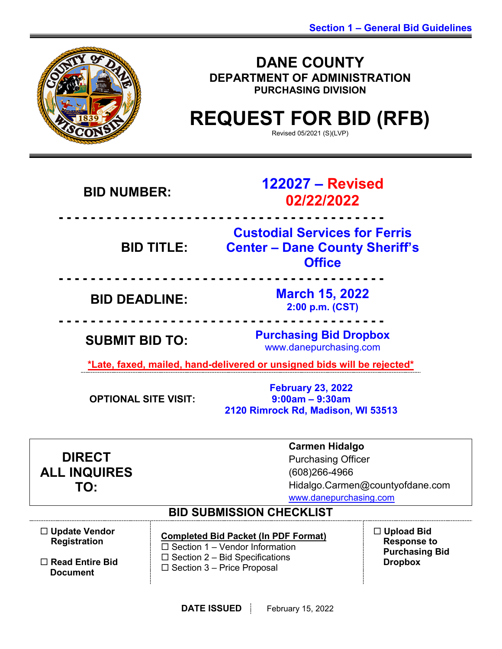

**DANE COUNTY DEPARTMENT OF ADMINISTRATION PURCHASING DIVISION**

# **REQUEST FOR BID (RFB)**

Revised 05/2021 (S)(LVP)

| <b>BID NUMBER:</b>                                                                                                                                          | 122027 - Revised<br>02/22/2022                                                                                                                                     |                                                                                    |  |
|-------------------------------------------------------------------------------------------------------------------------------------------------------------|--------------------------------------------------------------------------------------------------------------------------------------------------------------------|------------------------------------------------------------------------------------|--|
| <b>BID TITLE:</b>                                                                                                                                           | <b>Office</b>                                                                                                                                                      | <b>Custodial Services for Ferris</b><br><b>Center - Dane County Sheriff's</b>      |  |
| <b>March 15, 2022</b><br><b>BID DEADLINE:</b><br>2:00 p.m. (CST)                                                                                            |                                                                                                                                                                    |                                                                                    |  |
| <b>Purchasing Bid Dropbox</b><br><b>SUBMIT BID TO:</b><br>www.danepurchasing.com<br>*Late, faxed, mailed, hand-delivered or unsigned bids will be rejected* |                                                                                                                                                                    |                                                                                    |  |
| <b>February 23, 2022</b><br>$9:00am - 9:30am$<br><b>OPTIONAL SITE VISIT:</b><br>2120 Rimrock Rd, Madison, WI 53513                                          |                                                                                                                                                                    |                                                                                    |  |
| <b>DIRECT</b><br><b>ALL INQUIRES</b><br>TO:                                                                                                                 | <b>Carmen Hidalgo</b><br><b>Purchasing Officer</b><br>(608) 266-4966<br>Hidalgo.Carmen@countyofdane.com<br>www.danepurchasing.com                                  |                                                                                    |  |
| <b>BID SUBMISSION CHECKLIST</b>                                                                                                                             |                                                                                                                                                                    |                                                                                    |  |
| $\Box$ Update Vendor<br><b>Registration</b><br>$\Box$ Read Entire Bid<br><b>Document</b>                                                                    | <b>Completed Bid Packet (In PDF Format)</b><br>$\Box$ Section 1 – Vendor Information<br>$\Box$ Section 2 – Bid Specifications<br>$\Box$ Section 3 - Price Proposal | $\Box$ Upload Bid<br><b>Response to</b><br><b>Purchasing Bid</b><br><b>Dropbox</b> |  |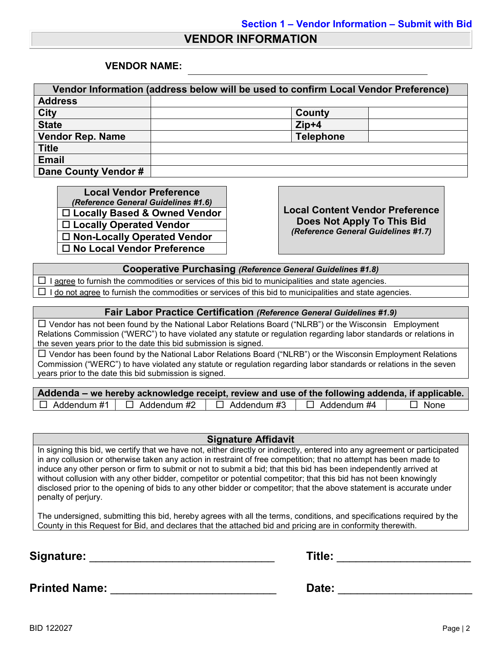#### **VENDOR INFORMATION**

#### **VENDOR NAME:**

| Vendor Information (address below will be used to confirm Local Vendor Preference) |                  |  |  |
|------------------------------------------------------------------------------------|------------------|--|--|
| <b>Address</b>                                                                     |                  |  |  |
| <b>City</b>                                                                        | County           |  |  |
| <b>State</b>                                                                       | $Zip+4$          |  |  |
| <b>Vendor Rep. Name</b>                                                            | <b>Telephone</b> |  |  |
| <b>Title</b>                                                                       |                  |  |  |
| <b>Email</b>                                                                       |                  |  |  |
| Dane County Vendor #                                                               |                  |  |  |

**Local Vendor Preference**<br>(*Reference General Guidelines #1.6*) *(Reference General Guidelines #1.6)* **Local Content Vendor Preference Locally Based & Owned Vendor Locally Operated Vendor Non-Locally Operated Vendor No Local Vendor Preference**

**Does Not Apply To This Bid** *(Reference General Guidelines #1.7)*

**Cooperative Purchasing** *(Reference General Guidelines #1.8)*

 $\Box$  I agree to furnish the commodities or services of this bid to municipalities and state agencies.  $\Box$  I do not agree to furnish the commodities or services of this bid to municipalities and state agencies.

#### **Fair Labor Practice Certification** *(Reference General Guidelines #1.9)*

 Vendor has not been found by the National Labor Relations Board ("NLRB") or the Wisconsin Employment Relations Commission ("WERC") to have violated any statute or regulation regarding labor standards or relations in the seven years prior to the date this bid submission is signed.

 $\Box$  Vendor has been found by the National Labor Relations Board ("NLRB") or the Wisconsin Employment Relations Commission ("WERC") to have violated any statute or regulation regarding labor standards or relations in the seven years prior to the date this bid submission is signed.

| Addenda – we hereby acknowledge receipt, review and use of the following addenda, if applicable. |                    |                    |             |
|--------------------------------------------------------------------------------------------------|--------------------|--------------------|-------------|
| $\Box$ Addendum #1 $\Box$ Addendum #2                                                            | $\Box$ Addendum #3 | $\Box$ Addendum #4 | $\Box$ None |

#### **Signature Affidavit**

In signing this bid, we certify that we have not, either directly or indirectly, entered into any agreement or participated in any collusion or otherwise taken any action in restraint of free competition; that no attempt has been made to induce any other person or firm to submit or not to submit a bid; that this bid has been independently arrived at without collusion with any other bidder, competitor or potential competitor; that this bid has not been knowingly disclosed prior to the opening of bids to any other bidder or competitor; that the above statement is accurate under penalty of perjury.

The undersigned, submitting this bid, hereby agrees with all the terms, conditions, and specifications required by the County in this Request for Bid, and declares that the attached bid and pricing are in conformity therewith.

**Signature:** \_\_\_\_\_\_\_\_\_\_\_\_\_\_\_\_\_\_\_\_\_\_\_\_\_\_\_\_\_ **Title:** \_\_\_\_\_\_\_\_\_\_\_\_\_\_\_\_\_\_\_\_\_

**Printed Name:** \_\_\_\_\_\_\_\_\_\_\_\_\_\_\_\_\_\_\_\_\_\_\_\_\_\_ **Date:** \_\_\_\_\_\_\_\_\_\_\_\_\_\_\_\_\_\_\_\_\_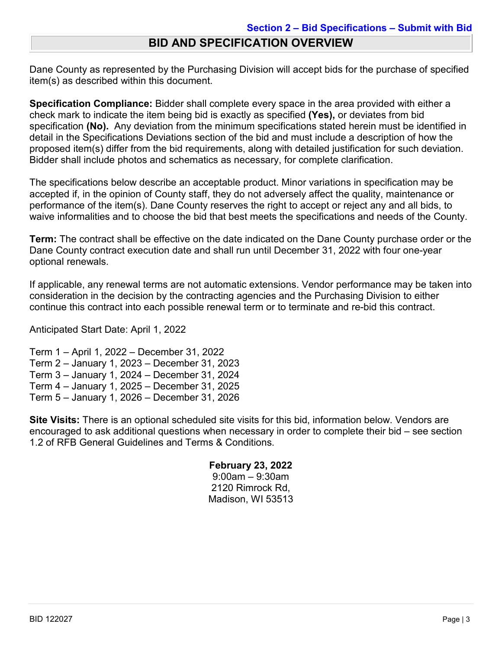### **BID AND SPECIFICATION OVERVIEW**

Dane County as represented by the Purchasing Division will accept bids for the purchase of specified item(s) as described within this document.

**Specification Compliance:** Bidder shall complete every space in the area provided with either a check mark to indicate the item being bid is exactly as specified **(Yes),** or deviates from bid specification **(No).** Any deviation from the minimum specifications stated herein must be identified in detail in the Specifications Deviations section of the bid and must include a description of how the proposed item(s) differ from the bid requirements, along with detailed justification for such deviation. Bidder shall include photos and schematics as necessary, for complete clarification.

The specifications below describe an acceptable product. Minor variations in specification may be accepted if, in the opinion of County staff, they do not adversely affect the quality, maintenance or performance of the item(s). Dane County reserves the right to accept or reject any and all bids, to waive informalities and to choose the bid that best meets the specifications and needs of the County.

**Term:** The contract shall be effective on the date indicated on the Dane County purchase order or the Dane County contract execution date and shall run until December 31, 2022 with four one-year optional renewals.

If applicable, any renewal terms are not automatic extensions. Vendor performance may be taken into consideration in the decision by the contracting agencies and the Purchasing Division to either continue this contract into each possible renewal term or to terminate and re-bid this contract.

Anticipated Start Date: April 1, 2022

Term 1 – April 1, 2022 – December 31, 2022 Term 2 – January 1, 2023 – December 31, 2023 Term 3 – January 1, 2024 – December 31, 2024 Term 4 – January 1, 2025 – December 31, 2025 Term 5 – January 1, 2026 – December 31, 2026

**Site Visits:** There is an optional scheduled site visits for this bid, information below. Vendors are encouraged to ask additional questions when necessary in order to complete their bid – see section 1.2 of RFB General Guidelines and Terms & Conditions.

#### **February 23, 2022**

9:00am – 9:30am 2120 Rimrock Rd, Madison, WI 53513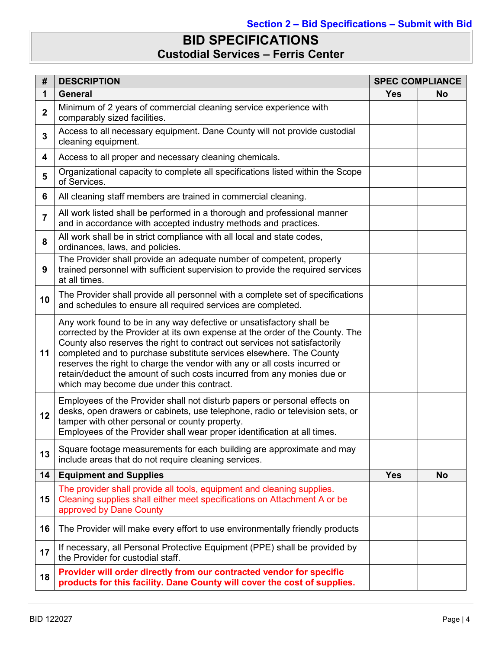# **BID SPECIFICATIONS Custodial Services – Ferris Center**

| #              | <b>DESCRIPTION</b><br><b>SPEC COMPLIANCE</b>                                                                                                                                                                                                                                                                                                                                                                                                                                                                  |            |           |  |  |
|----------------|---------------------------------------------------------------------------------------------------------------------------------------------------------------------------------------------------------------------------------------------------------------------------------------------------------------------------------------------------------------------------------------------------------------------------------------------------------------------------------------------------------------|------------|-----------|--|--|
| 1              | <b>General</b>                                                                                                                                                                                                                                                                                                                                                                                                                                                                                                | <b>Yes</b> | <b>No</b> |  |  |
| $\mathbf{2}$   | Minimum of 2 years of commercial cleaning service experience with<br>comparably sized facilities.                                                                                                                                                                                                                                                                                                                                                                                                             |            |           |  |  |
| $\mathbf 3$    | Access to all necessary equipment. Dane County will not provide custodial<br>cleaning equipment.                                                                                                                                                                                                                                                                                                                                                                                                              |            |           |  |  |
| 4              | Access to all proper and necessary cleaning chemicals.                                                                                                                                                                                                                                                                                                                                                                                                                                                        |            |           |  |  |
| 5              | Organizational capacity to complete all specifications listed within the Scope<br>of Services.                                                                                                                                                                                                                                                                                                                                                                                                                |            |           |  |  |
| 6              | All cleaning staff members are trained in commercial cleaning.                                                                                                                                                                                                                                                                                                                                                                                                                                                |            |           |  |  |
| $\overline{7}$ | All work listed shall be performed in a thorough and professional manner<br>and in accordance with accepted industry methods and practices.                                                                                                                                                                                                                                                                                                                                                                   |            |           |  |  |
| 8              | All work shall be in strict compliance with all local and state codes,<br>ordinances, laws, and policies.                                                                                                                                                                                                                                                                                                                                                                                                     |            |           |  |  |
| 9              | The Provider shall provide an adequate number of competent, properly<br>trained personnel with sufficient supervision to provide the required services<br>at all times.                                                                                                                                                                                                                                                                                                                                       |            |           |  |  |
| 10             | The Provider shall provide all personnel with a complete set of specifications<br>and schedules to ensure all required services are completed.                                                                                                                                                                                                                                                                                                                                                                |            |           |  |  |
| 11             | Any work found to be in any way defective or unsatisfactory shall be<br>corrected by the Provider at its own expense at the order of the County. The<br>County also reserves the right to contract out services not satisfactorily<br>completed and to purchase substitute services elsewhere. The County<br>reserves the right to charge the vendor with any or all costs incurred or<br>retain/deduct the amount of such costs incurred from any monies due or<br>which may become due under this contract. |            |           |  |  |
| 12             | Employees of the Provider shall not disturb papers or personal effects on<br>desks, open drawers or cabinets, use telephone, radio or television sets, or<br>tamper with other personal or county property.<br>Employees of the Provider shall wear proper identification at all times.                                                                                                                                                                                                                       |            |           |  |  |
| 13             | Square footage measurements for each building are approximate and may<br>include areas that do not require cleaning services.                                                                                                                                                                                                                                                                                                                                                                                 |            |           |  |  |
| 14             | <b>Equipment and Supplies</b>                                                                                                                                                                                                                                                                                                                                                                                                                                                                                 | <b>Yes</b> | <b>No</b> |  |  |
| 15             | The provider shall provide all tools, equipment and cleaning supplies.<br>Cleaning supplies shall either meet specifications on Attachment A or be<br>approved by Dane County                                                                                                                                                                                                                                                                                                                                 |            |           |  |  |
| 16             | The Provider will make every effort to use environmentally friendly products                                                                                                                                                                                                                                                                                                                                                                                                                                  |            |           |  |  |
| 17             | If necessary, all Personal Protective Equipment (PPE) shall be provided by<br>the Provider for custodial staff.                                                                                                                                                                                                                                                                                                                                                                                               |            |           |  |  |
| 18             | Provider will order directly from our contracted vendor for specific<br>products for this facility. Dane County will cover the cost of supplies.                                                                                                                                                                                                                                                                                                                                                              |            |           |  |  |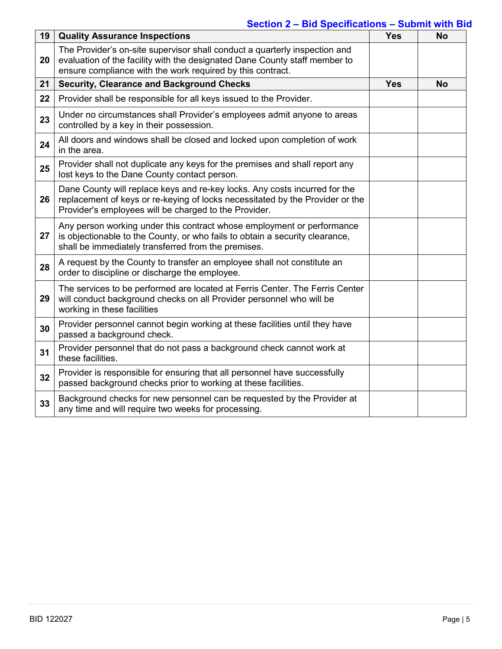### **Section 2 – Bid Specifications – Submit with Bid**

| 19 | <b>Quality Assurance Inspections</b>                                                                                                                                                                                   | <b>Yes</b> | <b>No</b> |
|----|------------------------------------------------------------------------------------------------------------------------------------------------------------------------------------------------------------------------|------------|-----------|
| 20 | The Provider's on-site supervisor shall conduct a quarterly inspection and<br>evaluation of the facility with the designated Dane County staff member to<br>ensure compliance with the work required by this contract. |            |           |
| 21 | <b>Security, Clearance and Background Checks</b>                                                                                                                                                                       | <b>Yes</b> | <b>No</b> |
| 22 | Provider shall be responsible for all keys issued to the Provider.                                                                                                                                                     |            |           |
| 23 | Under no circumstances shall Provider's employees admit anyone to areas<br>controlled by a key in their possession.                                                                                                    |            |           |
| 24 | All doors and windows shall be closed and locked upon completion of work<br>in the area.                                                                                                                               |            |           |
| 25 | Provider shall not duplicate any keys for the premises and shall report any<br>lost keys to the Dane County contact person.                                                                                            |            |           |
| 26 | Dane County will replace keys and re-key locks. Any costs incurred for the<br>replacement of keys or re-keying of locks necessitated by the Provider or the<br>Provider's employees will be charged to the Provider.   |            |           |
| 27 | Any person working under this contract whose employment or performance<br>is objectionable to the County, or who fails to obtain a security clearance,<br>shall be immediately transferred from the premises.          |            |           |
| 28 | A request by the County to transfer an employee shall not constitute an<br>order to discipline or discharge the employee.                                                                                              |            |           |
| 29 | The services to be performed are located at Ferris Center. The Ferris Center<br>will conduct background checks on all Provider personnel who will be<br>working in these facilities                                    |            |           |
| 30 | Provider personnel cannot begin working at these facilities until they have<br>passed a background check.                                                                                                              |            |           |
| 31 | Provider personnel that do not pass a background check cannot work at<br>these facilities.                                                                                                                             |            |           |
| 32 | Provider is responsible for ensuring that all personnel have successfully<br>passed background checks prior to working at these facilities.                                                                            |            |           |
| 33 | Background checks for new personnel can be requested by the Provider at<br>any time and will require two weeks for processing.                                                                                         |            |           |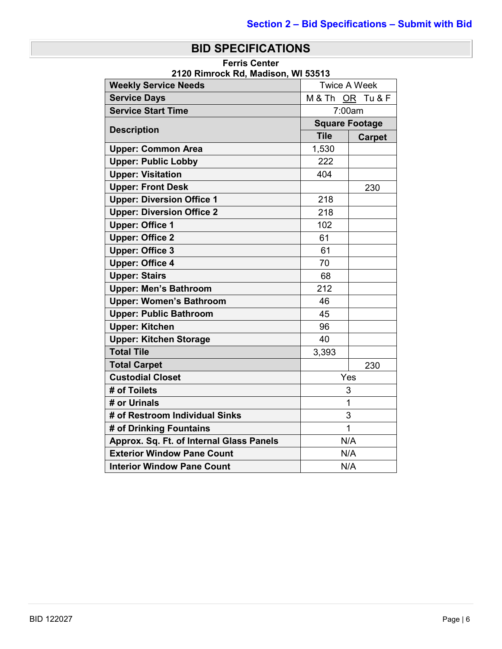### **BID SPECIFICATIONS**

**Ferris Center 2120 Rimrock Rd, Madison, WI 53513**

| <b>Weekly Service Needs</b>              |                           |                       |
|------------------------------------------|---------------------------|-----------------------|
| <b>Service Days</b>                      | <b>Twice A Week</b>       |                       |
| <b>Service Start Time</b>                | M& Th OR Tu & F<br>7:00am |                       |
|                                          |                           |                       |
| <b>Description</b>                       |                           | <b>Square Footage</b> |
|                                          | <b>Tile</b>               | <b>Carpet</b>         |
| <b>Upper: Common Area</b>                | 1,530                     |                       |
| <b>Upper: Public Lobby</b>               | 222                       |                       |
| <b>Upper: Visitation</b>                 | 404                       |                       |
| <b>Upper: Front Desk</b>                 |                           | 230                   |
| <b>Upper: Diversion Office 1</b>         | 218                       |                       |
| <b>Upper: Diversion Office 2</b>         | 218                       |                       |
| <b>Upper: Office 1</b>                   | 102                       |                       |
| <b>Upper: Office 2</b>                   | 61                        |                       |
| <b>Upper: Office 3</b>                   | 61                        |                       |
| <b>Upper: Office 4</b>                   | 70                        |                       |
| <b>Upper: Stairs</b>                     | 68                        |                       |
| <b>Upper: Men's Bathroom</b>             | 212                       |                       |
| <b>Upper: Women's Bathroom</b>           | 46                        |                       |
| <b>Upper: Public Bathroom</b>            | 45                        |                       |
| <b>Upper: Kitchen</b>                    | 96                        |                       |
| <b>Upper: Kitchen Storage</b>            | 40                        |                       |
| <b>Total Tile</b>                        | 3,393                     |                       |
| <b>Total Carpet</b>                      |                           | 230                   |
| <b>Custodial Closet</b>                  | Yes                       |                       |
| # of Toilets                             | 3                         |                       |
| # or Urinals                             | 1                         |                       |
| # of Restroom Individual Sinks           |                           | 3                     |
| # of Drinking Fountains                  | $\overline{1}$            |                       |
| Approx. Sq. Ft. of Internal Glass Panels |                           | N/A                   |
| <b>Exterior Window Pane Count</b>        |                           | N/A                   |
| <b>Interior Window Pane Count</b>        |                           | N/A                   |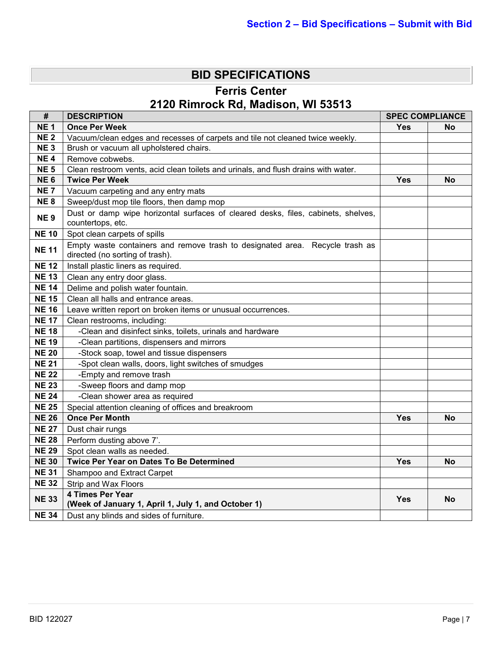# **BID SPECIFICATIONS**

**Ferris Center**

# **2120 Rimrock Rd, Madison, WI 53513**

| #                           | <b>DESCRIPTION</b><br><b>SPEC COMPLIANCE</b>                                                                    |            |           |
|-----------------------------|-----------------------------------------------------------------------------------------------------------------|------------|-----------|
| <b>NE1</b>                  | <b>Once Per Week</b>                                                                                            | <b>Yes</b> | No        |
| <b>NE2</b>                  | Vacuum/clean edges and recesses of carpets and tile not cleaned twice weekly.                                   |            |           |
| <b>NE3</b>                  | Brush or vacuum all upholstered chairs.                                                                         |            |           |
| <b>NE4</b>                  | Remove cobwebs.                                                                                                 |            |           |
| <b>NE 5</b>                 | Clean restroom vents, acid clean toilets and urinals, and flush drains with water.                              |            |           |
| <b>NE6</b>                  | <b>Twice Per Week</b>                                                                                           | Yes        | <b>No</b> |
| <b>NE7</b>                  | Vacuum carpeting and any entry mats                                                                             |            |           |
| <b>NE8</b>                  | Sweep/dust mop tile floors, then damp mop                                                                       |            |           |
| <b>NE9</b>                  | Dust or damp wipe horizontal surfaces of cleared desks, files, cabinets, shelves,<br>countertops, etc.          |            |           |
| <b>NE 10</b>                | Spot clean carpets of spills                                                                                    |            |           |
| <b>NE 11</b>                | Empty waste containers and remove trash to designated area. Recycle trash as<br>directed (no sorting of trash). |            |           |
| <b>NE 12</b>                | Install plastic liners as required.                                                                             |            |           |
| <b>NE 13</b>                | Clean any entry door glass.                                                                                     |            |           |
| <b>NE 14</b>                | Delime and polish water fountain.                                                                               |            |           |
| <b>NE 15</b>                | Clean all halls and entrance areas.                                                                             |            |           |
| <b>NE 16</b>                | Leave written report on broken items or unusual occurrences.                                                    |            |           |
| <b>NE 17</b>                | Clean restrooms, including:                                                                                     |            |           |
| <b>NE 18</b>                | -Clean and disinfect sinks, toilets, urinals and hardware                                                       |            |           |
| <b>NE 19</b>                | -Clean partitions, dispensers and mirrors                                                                       |            |           |
| <b>NE 20</b>                | -Stock soap, towel and tissue dispensers                                                                        |            |           |
| <b>NE 21</b>                | -Spot clean walls, doors, light switches of smudges                                                             |            |           |
| $\overline{\mathsf{NE}}$ 22 | -Empty and remove trash                                                                                         |            |           |
| <b>NE 23</b>                | -Sweep floors and damp mop                                                                                      |            |           |
| <b>NE 24</b>                | -Clean shower area as required                                                                                  |            |           |
| <b>NE 25</b>                | Special attention cleaning of offices and breakroom                                                             |            |           |
| <b>NE 26</b>                | <b>Once Per Month</b>                                                                                           | Yes        | <b>No</b> |
| <b>NE 27</b>                | Dust chair rungs                                                                                                |            |           |
| <b>NE 28</b>                | Perform dusting above 7'.                                                                                       |            |           |
| <b>NE 29</b>                | Spot clean walls as needed.                                                                                     |            |           |
| <b>NE 30</b>                | Twice Per Year on Dates To Be Determined                                                                        | <b>Yes</b> | <b>No</b> |
| <b>NE 31</b>                | Shampoo and Extract Carpet                                                                                      |            |           |
| <b>NE 32</b>                | Strip and Wax Floors                                                                                            |            |           |
| <b>NE 33</b>                | <b>4 Times Per Year</b><br>(Week of January 1, April 1, July 1, and October 1)                                  | Yes        | No        |
| <b>NE 34</b>                | Dust any blinds and sides of furniture.                                                                         |            |           |